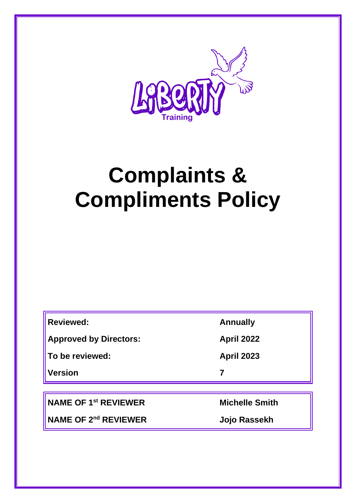

# **Complaints & Compliments Policy**

| <b>Reviewed:</b>              | <b>Annually</b>   |
|-------------------------------|-------------------|
| <b>Approved by Directors:</b> | <b>April 2022</b> |
| To be reviewed:               | <b>April 2023</b> |
| <b>Version</b>                |                   |
|                               |                   |

**NAME OF 1st REVIEWER Michelle Smith**

**NAME OF 2nd REVIEWER Jojo Rassekh**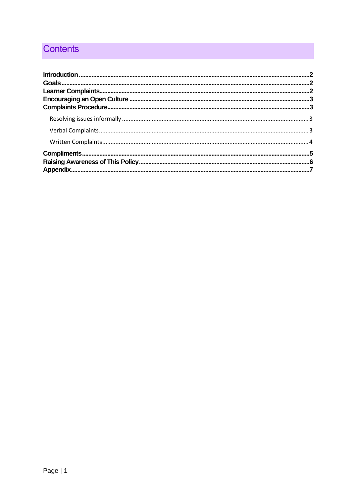# **Contents**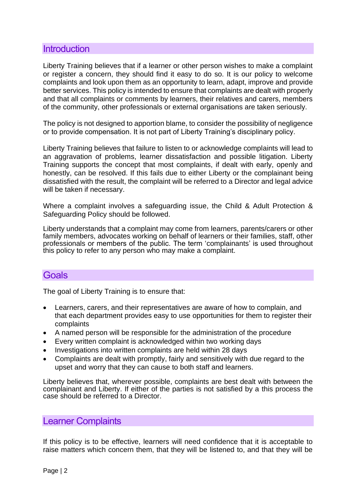### <span id="page-2-0"></span>**Introduction**

Liberty Training believes that if a learner or other person wishes to make a complaint or register a concern, they should find it easy to do so. It is our policy to welcome complaints and look upon them as an opportunity to learn, adapt, improve and provide better services. This policy is intended to ensure that complaints are dealt with properly and that all complaints or comments by learners, their relatives and carers, members of the community, other professionals or external organisations are taken seriously.

The policy is not designed to apportion blame, to consider the possibility of negligence or to provide compensation. It is not part of Liberty Training's disciplinary policy.

Liberty Training believes that failure to listen to or acknowledge complaints will lead to an aggravation of problems, learner dissatisfaction and possible litigation. Liberty Training supports the concept that most complaints, if dealt with early, openly and honestly, can be resolved. If this fails due to either Liberty or the complainant being dissatisfied with the result, the complaint will be referred to a Director and legal advice will be taken if necessary.

Where a complaint involves a safeguarding issue, the Child & Adult Protection & Safeguarding Policy should be followed.

Liberty understands that a complaint may come from learners, parents/carers or other family members, advocates working on behalf of learners or their families, staff, other professionals or members of the public. The term 'complainants' is used throughout this policy to refer to any person who may make a complaint.

## <span id="page-2-1"></span>**Goals**

The goal of Liberty Training is to ensure that:

- Learners, carers, and their representatives are aware of how to complain, and that each department provides easy to use opportunities for them to register their complaints
- A named person will be responsible for the administration of the procedure
- Every written complaint is acknowledged within two working days
- Investigations into written complaints are held within 28 days
- Complaints are dealt with promptly, fairly and sensitively with due regard to the upset and worry that they can cause to both staff and learners.

Liberty believes that, wherever possible, complaints are best dealt with between the complainant and Liberty. If either of the parties is not satisfied by a this process the case should be referred to a Director.

#### <span id="page-2-2"></span>Learner Complaints

If this policy is to be effective, learners will need confidence that it is acceptable to raise matters which concern them, that they will be listened to, and that they will be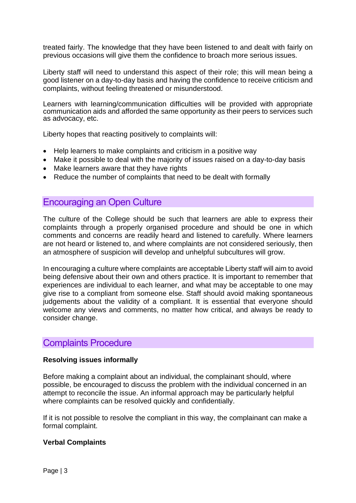treated fairly. The knowledge that they have been listened to and dealt with fairly on previous occasions will give them the confidence to broach more serious issues.

Liberty staff will need to understand this aspect of their role; this will mean being a good listener on a day-to-day basis and having the confidence to receive criticism and complaints, without feeling threatened or misunderstood.

Learners with learning/communication difficulties will be provided with appropriate communication aids and afforded the same opportunity as their peers to services such as advocacy, etc.

Liberty hopes that reacting positively to complaints will:

- Help learners to make complaints and criticism in a positive way
- Make it possible to deal with the majority of issues raised on a day-to-day basis
- Make learners aware that they have rights
- Reduce the number of complaints that need to be dealt with formally

### <span id="page-3-0"></span>Encouraging an Open Culture

The culture of the College should be such that learners are able to express their complaints through a properly organised procedure and should be one in which comments and concerns are readily heard and listened to carefully. Where learners are not heard or listened to, and where complaints are not considered seriously, then an atmosphere of suspicion will develop and unhelpful subcultures will grow.

In encouraging a culture where complaints are acceptable Liberty staff will aim to avoid being defensive about their own and others practice. It is important to remember that experiences are individual to each learner, and what may be acceptable to one may give rise to a compliant from someone else. Staff should avoid making spontaneous judgements about the validity of a compliant. It is essential that everyone should welcome any views and comments, no matter how critical, and always be ready to consider change.

## <span id="page-3-1"></span>Complaints Procedure

#### <span id="page-3-2"></span>**Resolving issues informally**

Before making a complaint about an individual, the complainant should, where possible, be encouraged to discuss the problem with the individual concerned in an attempt to reconcile the issue. An informal approach may be particularly helpful where complaints can be resolved quickly and confidentially.

If it is not possible to resolve the compliant in this way, the complainant can make a formal complaint.

#### <span id="page-3-3"></span>**Verbal Complaints**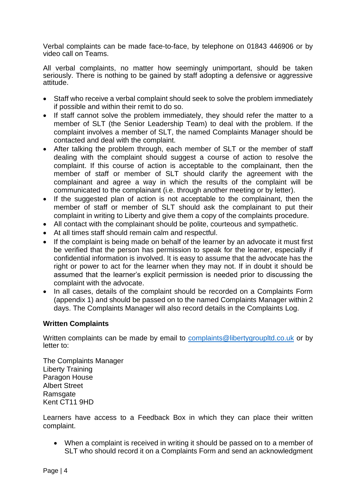Verbal complaints can be made face-to-face, by telephone on 01843 446906 or by video call on Teams.

All verbal complaints, no matter how seemingly unimportant, should be taken seriously. There is nothing to be gained by staff adopting a defensive or aggressive attitude.

- Staff who receive a verbal complaint should seek to solve the problem immediately if possible and within their remit to do so.
- If staff cannot solve the problem immediately, they should refer the matter to a member of SLT (the Senior Leadership Team) to deal with the problem. If the complaint involves a member of SLT, the named Complaints Manager should be contacted and deal with the complaint.
- After talking the problem through, each member of SLT or the member of staff dealing with the complaint should suggest a course of action to resolve the complaint. If this course of action is acceptable to the complainant, then the member of staff or member of SLT should clarify the agreement with the complainant and agree a way in which the results of the complaint will be communicated to the complainant (i.e. through another meeting or by letter).
- If the suggested plan of action is not acceptable to the complainant, then the member of staff or member of SLT should ask the complainant to put their complaint in writing to Liberty and give them a copy of the complaints procedure.
- All contact with the complainant should be polite, courteous and sympathetic.
- At all times staff should remain calm and respectful.
- If the complaint is being made on behalf of the learner by an advocate it must first be verified that the person has permission to speak for the learner, especially if confidential information is involved. It is easy to assume that the advocate has the right or power to act for the learner when they may not. If in doubt it should be assumed that the learner's explicit permission is needed prior to discussing the complaint with the advocate.
- In all cases, details of the complaint should be recorded on a Complaints Form (appendix 1) and should be passed on to the named Complaints Manager within 2 days. The Complaints Manager will also record details in the Complaints Log.

#### <span id="page-4-0"></span>**Written Complaints**

Written complaints can be made by email to [complaints@libertygroupltd.co.uk](mailto:complaints@libertygroupltd.co.uk) or by letter to:

The Complaints Manager Liberty Training Paragon House Albert Street Ramsgate Kent CT11 9HD

Learners have access to a Feedback Box in which they can place their written complaint.

• When a complaint is received in writing it should be passed on to a member of SLT who should record it on a Complaints Form and send an acknowledgment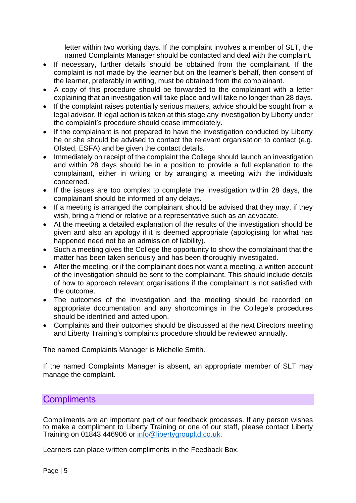letter within two working days. If the complaint involves a member of SLT, the named Complaints Manager should be contacted and deal with the complaint.

- If necessary, further details should be obtained from the complainant. If the complaint is not made by the learner but on the learner's behalf, then consent of the learner, preferably in writing, must be obtained from the complainant.
- A copy of this procedure should be forwarded to the complainant with a letter explaining that an investigation will take place and will take no longer than 28 days.
- If the complaint raises potentially serious matters, advice should be sought from a legal advisor. If legal action is taken at this stage any investigation by Liberty under the complaint's procedure should cease immediately.
- If the complainant is not prepared to have the investigation conducted by Liberty he or she should be advised to contact the relevant organisation to contact (e.g. Ofsted, ESFA) and be given the contact details.
- Immediately on receipt of the complaint the College should launch an investigation and within 28 days should be in a position to provide a full explanation to the complainant, either in writing or by arranging a meeting with the individuals concerned.
- If the issues are too complex to complete the investigation within 28 days, the complainant should be informed of any delays.
- If a meeting is arranged the complainant should be advised that they may, if they wish, bring a friend or relative or a representative such as an advocate.
- At the meeting a detailed explanation of the results of the investigation should be given and also an apology if it is deemed appropriate (apologising for what has happened need not be an admission of liability).
- Such a meeting gives the College the opportunity to show the complainant that the matter has been taken seriously and has been thoroughly investigated.
- After the meeting, or if the complainant does not want a meeting, a written account of the investigation should be sent to the complainant. This should include details of how to approach relevant organisations if the complainant is not satisfied with the outcome.
- The outcomes of the investigation and the meeting should be recorded on appropriate documentation and any shortcomings in the College's procedures should be identified and acted upon.
- Complaints and their outcomes should be discussed at the next Directors meeting and Liberty Training's complaints procedure should be reviewed annually.

The named Complaints Manager is Michelle Smith.

If the named Complaints Manager is absent, an appropriate member of SLT may manage the complaint.

## <span id="page-5-0"></span>**Compliments**

Compliments are an important part of our feedback processes. If any person wishes to make a compliment to Liberty Training or one of our staff, please contact Liberty Training on 01843 446906 or [info@libertygroupltd.co.uk.](mailto:info@libertygroupltd.co.uk)

Learners can place written compliments in the Feedback Box.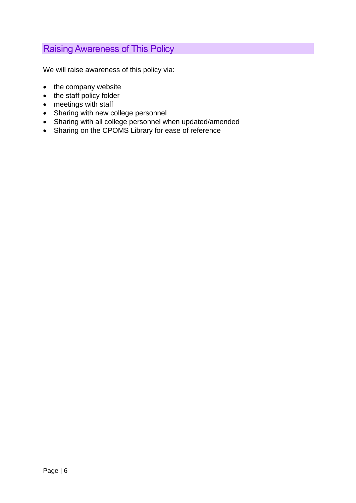## <span id="page-6-0"></span>Raising Awareness of This Policy

We will raise awareness of this policy via:

- the company website
- the staff policy folder
- meetings with staff
- Sharing with new college personnel
- Sharing with all college personnel when updated/amended
- Sharing on the CPOMS Library for ease of reference